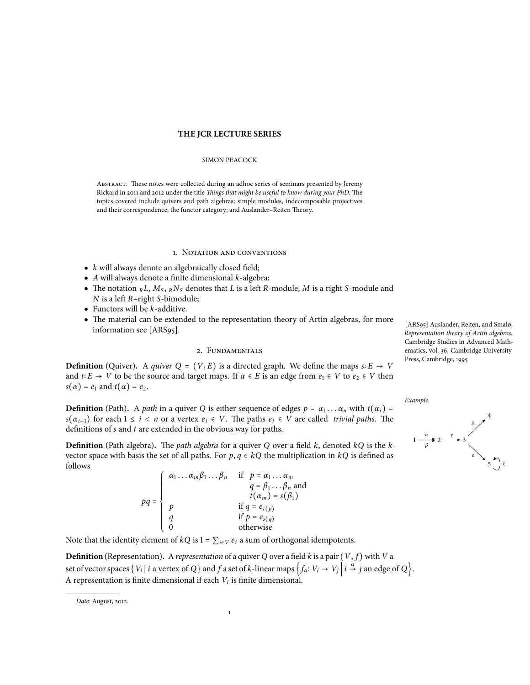# **THE JCR LECTURE SERIES**

#### SIMON PEACOCK

Abstract. These notes were collected during an adhoc series of seminars presented by Jeremy Rickard in 2011 and 2012 under the title *Things that might be useful to know during your PhD*. The topics covered include quivers and path algebras; simple modules, indecomposable projectives and their correspondence; the functor category; and Auslander–Reiten Theory.

#### 1. NOTATION AND CONVENTIONS

- *k* will always denote an algebraically closed field;
- *A* will always denote a finite dimensional *k*-algebra;
- The notation  $_R L$ ,  $M_S$ ,  $_R N_S$  denotes that  $L$  is a left  $R$ -module,  $M$  is a right  $S$ -module and *N* is a left *R*–right *S*-bimodule;
- Functors will be *k*-additive.
- The material can be extended to the representation theory of Artin algebras, for more information see [ARS95].

# 2. Fundamentals

**Definition** (Quiver). A *quiver*  $Q = (V, E)$  is a directed graph. We define the maps  $s: E \rightarrow V$ and *t*∶ *E*  $\rightarrow$  *V* to be the source and target maps. If  $\alpha \in E$  is an edge from  $e_1 \in V$  to  $e_2 \in V$  then  $s(\alpha) = e_1$  and  $t(\alpha) = e_2$ .

**Definition** (Path). A *path* in a quiver *Q* is either sequence of edges  $p = \alpha_1 \dots \alpha_n$  with  $t(\alpha_i) =$ <br> $a(x_i)$  for each  $1 \le i \le n$  are a vertex  $a_i \in V$ . The paths  $a_i \in V$  are called *trivial* paths. The  $s(\alpha_{i+1})$  for each  $1 \leq i < n$  or a vertex  $e_i \in V$ . The paths  $e_i \in V$  are called *trivial paths*. The definitions of *s* and *t* are extended in the obvious way for paths.

**Definition** (Path algebra)**.** The *path algebra* for a quiver *Q* over a field *k*, denoted *kQ* is the *k*vector space with basis the set of all paths. For  $p, q \in kQ$  the multiplication in  $kQ$  is defined as follows

$$
pq = \begin{cases} \n\alpha_1 \dots \alpha_m \beta_1 \dots \beta_n & \text{if } p = \alpha_1 \dots \alpha_m \\ \n\alpha = \beta_1 \dots \beta_n \text{ and } t(\alpha_m) = s(\beta_1) \\ \np & \text{if } q = e_{t(p)} \\ \nq & \text{if } p = e_{s(q)} \\ \n0 & \text{otherwise} \n\end{cases}
$$

Note that the identity element of  $kQ$  is  $1 = \sum_{i \in V} e_i$  a sum of orthogonal idempotents.

**Definition** (Representation). A representation of a quiver *Q* over a field *k* is a pair  $(V, f)$  with *V* a set of vector spaces  $\{V_i \mid i \text{ a vertex of } Q\}$  and  $f$  a set of  $k$ -linear maps  $\left\{f_a: V_i \to V_j \middle| i \stackrel{\alpha}{\to} j \text{ an edge of } Q\right\}$ . A representation is finite dimensional if each *V<sup>i</sup>* is finite dimensional.

1

[ARS95] Auslander, Reiten, and Smalø, *Representation theory of Artin algebras*, Cambridge Studies in Advanced Mathematics, vol. 36, Cambridge University Press, Cambridge, 1995

*Example.*



*Date*: August, 2012.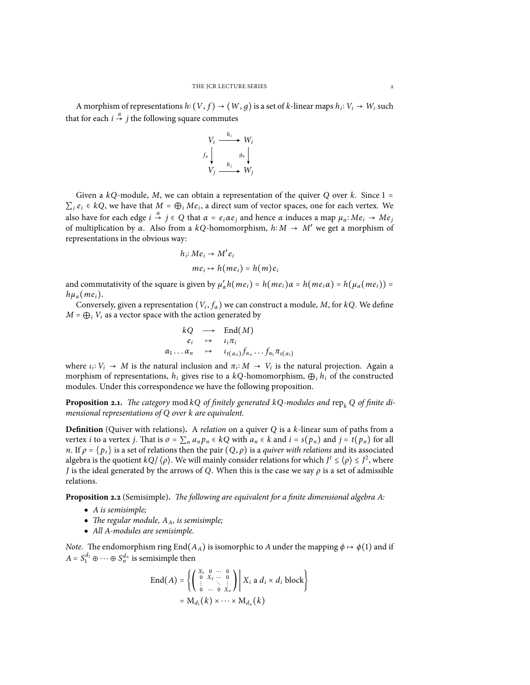A morphism of representations  $h: (V, f) \rightarrow (W, g)$  is a set of *k*-linear maps  $h_i: V_i \rightarrow W_i$  such that for each  $i \stackrel{\alpha}{\rightarrow} j$  the following square commutes

$$
V_i \xrightarrow{h_i} W_i
$$
  

$$
f_\alpha \downarrow \qquad g_\alpha \downarrow
$$
  

$$
V_j \xrightarrow{h_j} W_j
$$

Given a *kQ*-module, *<sup>M</sup>*, we can obtain a representation of the quiver *<sup>Q</sup>* over *<sup>k</sup>*. Since <sup>1</sup> <sup>=</sup>  $\sum_i e_i \in kQ$ , we have that  $M = \bigoplus_i Me_i$ , a direct sum of vector spaces, one for each vertex. We also have for each edge  $i \stackrel{\alpha}{\rightarrow} j \in Q$  that  $\alpha = e_i \alpha e_j$  and hence  $\alpha$  induces a map  $\mu_\alpha: Me_i \rightarrow Me_j$ of multiplication by  $\alpha$ . Also from a *kQ*-homomorphism,  $h: M \rightarrow M'$  we get a morphism of representations in the obvious way:

$$
h_i: Me_i \to M'e_i
$$

$$
me_i \mapsto h(me_i) = h(m)e_i
$$

and commutativity of the square is given by  $\mu'_{\alpha} h(me_i) = h(me_i) \alpha = h(me_i \alpha) = h(\mu_{\alpha}(me_i)) =$ <br>*h*  $h\mu_{\alpha}(me_i)$ .

Conversely, given a representation  $(V_i, f_\alpha)$  we can construct a module, *M*, for *kQ*. We define  $M = \bigoplus_i V_i$  as a vector space with the action generated by

$$
kQ \longrightarrow \text{End}(M)
$$
  
\n $e_i \rightarrow \iota_i \pi_i$   
\n $\alpha_1 \dots \alpha_n \rightarrow \iota_{t(\alpha_n)} f_{\alpha_n} \dots f_{\alpha_1} \pi_{s(\alpha_1)}$ 

where  $\iota_i: V_i \to M$  is the natural inclusion and  $\pi_i: M \to V_i$  is the natural projection. Again a morphism of representations,  $h_i$  gives rise to a  $kQ$ -homomorphism,  $\bigoplus_i h_i$  of the constructed modules. Under this correspondence we have the following proposition.

**Proposition 2.1.** *The category* mod  $kQ$  *of finitely generated*  $kQ$ -modules and rep<sub>k</sub>  $Q$  *of finite dimensional representations of Q over k are equivalent.*

**Definition** (Quiver with relations)**.** A *relation* on a quiver *Q* is a *k*-linear sum of paths from a vertex *i* to a vertex *j*. That is  $\sigma = \sum_n a_n p_n \in kQ$  with  $a_n \in k$  and  $i = s(p_n)$  and  $j = t(p_n)$  for all *n*. If  $\rho = \{p_t\}$  is a set of relations then the pair  $(Q, \rho)$  is a *quiver with relations* and its associated algebra is the quotient  $kQ/\langle \rho \rangle$ . We will mainly consider relations for which  $J^t \leq \langle \rho \rangle \leq J^2$ , where  $J$  is the ideal numerated by the agreement of  $\Omega$ . When this is the agreement of a straightful *J* is the ideal generated by the arrows of *Q*. When this is the case we say *ρ* is a set of admissible relations.

**Proposition 2.2** (Semisimple)**.** *The following are equivalent for a finite dimensional algebra A:*

- *A is semisimple;*
- *The regular module, AA, is semisimple;*
- *All A-modules are semisimple.*

*Note.* The endomorphism ring End( $A_A$ ) is isomorphic to *A* under the mapping  $\phi \mapsto \phi(1)$  and if  $A = S_1^{d_1} \oplus \cdots \oplus S_n^{d_n}$  is semisimple then

$$
\operatorname{End}(A) = \left\{ \left( \begin{array}{ccc} X_1 & 0 & \cdots & 0 \\ 0 & X_2 & \cdots & 0 \\ \vdots & \ddots & \vdots \\ 0 & \cdots & 0 & X_n \end{array} \right) \middle| \ X_i \text{ a } d_i \times d_i \text{ block} \right\}
$$
\n
$$
= \mathrm{M}_{d_1}(k) \times \cdots \times \mathrm{M}_{d_n}(k)
$$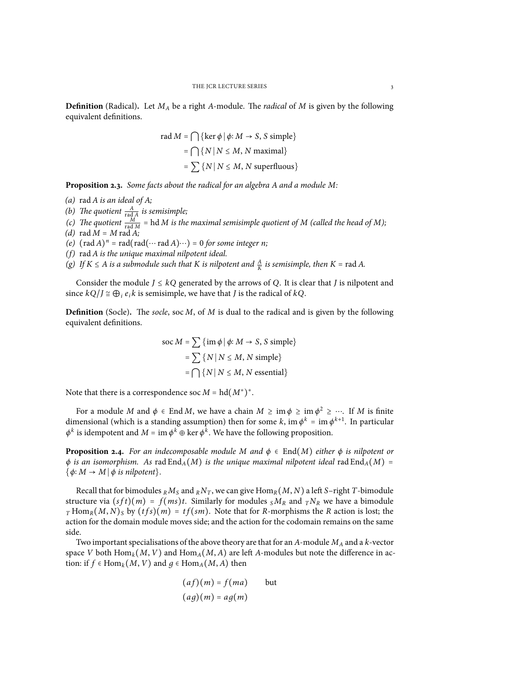**Definition** (Radical)**.** Let *M<sup>A</sup>* be a right *A*-module. The *radical* of *M* is given by the following equivalent definitions.

rad 
$$
M = \bigcap \{ \ker \phi | \phi: M \to S, S \text{ simple} \}
$$
  
=  $\bigcap \{ N | N \le M, N \text{ maximal} \}$   
=  $\sum \{ N | N \le M, N \text{ superfluous} \}$ 

**Proposition 2.3.** *Some facts about the radical for an algebra A and a module M:*

- *(a)* rad *A is an ideal of A;*
- *(b)* The quotient  $\frac{A}{\text{rad }A}$  is semisimple;

*(c)* The quotient  $\frac{M}{\text{rad } M}$  = hd *M is the maximal semisimple quotient of M (called the head of M)*;

 $(d)$  rad  $M = M$  rad  $A$ ;

(e)  $(\text{rad } A)^n = \text{rad}(\text{rad } A) \cdots = 0$  *for some integer n;*<br>(f) and *A* is the unique magnitude integrated ideal

- *(f)* rad *A is the unique maximal nilpotent ideal.*
- *(g) If*  $K \le A$  *is a submodule such that*  $K$  *is nilpotent and*  $\frac{A}{K}$  *is semisimple, then*  $K = \text{rad } A$ .

Consider the module  $J \le kQ$  generated by the arrows of Q. It is clear that *J* is nilpotent and since  $kQ/J \cong \bigoplus_i e_i k$  is semisimple, we have that *J* is the radical of  $kQ$ .

**Definition** (Socle)**.** The *socle*, soc *M*, of *M* is dual to the radical and is given by the following equivalent definitions.

$$
\text{soc } M = \sum {\{\text{im }\phi \mid \phi \colon M \to S, S \text{ simple}\}}
$$
\n
$$
= \sum {\{N \mid N \le M, N \text{ simple}\}}
$$
\n
$$
= \bigcap {\{N \mid N \le M, N \text{ essential}\}}
$$

Note that there is a correspondence soc  $M = hd(M^*)^*$ .

For a module *M* and  $\phi \in \text{End } M$ , we have a chain  $M \geq \text{im } \phi \geq \text{im } \phi^2 \geq \cdots$ . If *M* is finite dimensional (which is a standing assumption) then for some *k*, im  $\phi^k = \text{im } \phi^{k+1}$ . In particular  $\phi^k$  is idempotent and  $M = \text{im } \phi^k \oplus \ker \phi^k$ . We have the following proposition.

**Proposition 2.4.** *For an indecomposable module M and*  $\phi \in$  End(*M*) *either*  $\phi$  *is nilpotent or*  $\phi$  *is an isomorphism.* As rad End<sub>*A</sub>*(*M*) *is the unique maximal nilpotent ideal* rad End<sub>*A*</sub>(*M*) =</sub>  $\{\phi: M \to M \mid \phi \text{ is nilpotent}\}.$ 

Recall that for bimodules  $_R M_S$  and  $_R N_T$ , we can give  $\text{Hom}_R(M, N)$  a left *S*–right *T*-bimodule structure via  $(sft)(m) = f(ms)t$ . Similarly for modules  $sM_R$  and  $T^R$ <sup>N</sup>R we have a bimodule *T* Hom<sub>*R*</sub>(*M*, *N*)<sub>*S*</sub> by (*tfs*)(*m*) = *tf*(*sm*). Note that for *R*-morphisms the *R* action is lost; the action for the domain module moves side; and the action for the codomain remains on the same side.

Two important specialisations of the above theory are that for an *A*-module *M<sup>A</sup>* and a *k*-vector space *V* both  $\text{Hom}_k(M, V)$  and  $\text{Hom}_A(M, A)$  are left *A*-modules but note the difference in action: if  $f \in Hom_k(M, V)$  and  $q \in Hom_A(M, A)$  then

$$
(af)(m) = f(ma) \qquad \text{but}
$$

$$
(ag)(m) = ag(m)
$$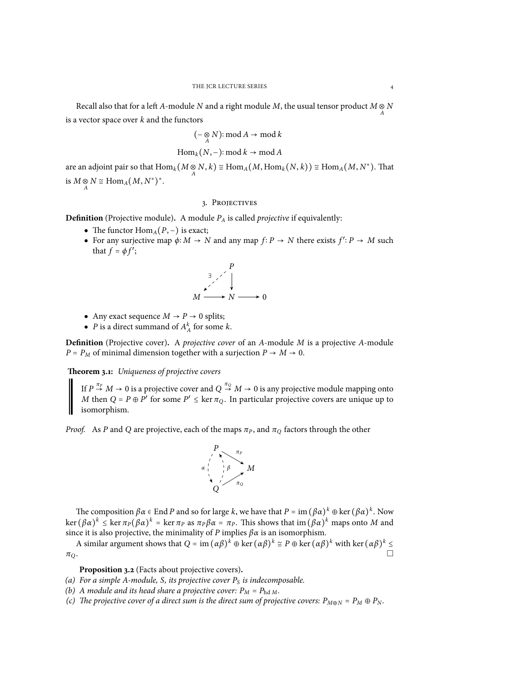Recall also that for a left *A*-module *N* and a right module *M*, the usual tensor product *M*  $\underset{A}{\otimes}$  *N* is a vector space over *k* and the functors

$$
(-\underset{A}{\otimes}N):\mathrm{mod}\,A\rightarrow \mathrm{mod}\,k
$$

$$
\operatorname{Hom}_k(N,-):\operatorname{mod} k\to\operatorname{mod} A
$$

are an adjoint pair so that  $\text{Hom}_k(M \otimes N, k) \cong \text{Hom}_A(M, \text{Hom}_k(N, k)) \cong \text{Hom}_A(M, N^*)$ . That is  $M \underset{A}{\otimes} N \cong \text{Hom}_A(M, N^*)^*$ .

#### 3. Projectives

**Definition** (Projective module)**.** A module *P<sup>A</sup>* is called *projective* if equivalently:

- The functor  $\text{Hom}_{A}(P, -)$  is exact;
- For any surjective map  $\phi: M \to N$  and any map  $f: P \to N$  there exists  $f': P \to M$  such that  $f = \phi f'$ ;

$$
M \xrightarrow{\exists} \begin{matrix} P \\ \downarrow \\ \downarrow \end{matrix}
$$

$$
M \xrightarrow{\mathcal{N}} \begin{matrix} P \\ \downarrow \end{matrix}
$$

- Any exact sequence  $M \rightarrow P \rightarrow 0$  splits;
- *P* is a direct summand of  $A_A^k$  for some *k*.

**Definition** (Projective cover)**.** A *projective cover* of an *A*-module *M* is a projective *A*-module  $P = P_M$  of minimal dimension together with a surjection  $P \rightarrow M \rightarrow 0$ .

**Theorem 3.1:** *Uniqueness of projective covers*

If  $P \stackrel{\pi_P}{\rightarrow} M \rightarrow 0$  is a projective cover and  $Q \stackrel{\pi_Q}{\rightarrow} M \rightarrow 0$  is any projective module mapping onto *M* then *Q* = *P*  $\oplus$  *P*<sup>*'*</sup> for some *P'*  $\leq$  ker  $\pi_Q$ . In particular projective covers are unique up to isomorphism.

*Proof.* As *P* and *Q* are projective, each of the maps  $\pi_P$ , and  $\pi_Q$  factors through the other



The composition  $\beta \alpha \in \text{End } P$  and so for large *k*, we have that  $P = \text{im } (\beta \alpha)^k \oplus \text{ker } (\beta \alpha)^k$ . Now  $\ker (\beta \alpha)^k$  ≤  $\ker \pi_P(\beta \alpha)^k = \ker \pi_P$  as  $\pi_P \beta \alpha = \pi_P$ . This shows that im  $(\beta \alpha)^k$  maps onto *M* and *since i*t is also musicative the minimality of *D* implies  $\beta$  *x* is an isomorphism. since it is also projective, the minimality of *P* implies  $\beta \alpha$  is an isomorphism.

A similar argument shows that  $Q = \text{im } (\alpha \beta)^k \oplus \text{ker } (\alpha \beta)^k \cong P \oplus \text{ker } (\alpha \beta)^k$  with ker  $(\alpha \beta)^k$  $\Box$  $\pi_{Q}$  .

**Proposition 3.2** (Facts about projective covers)**.**

*(a) For a simple A-module, S, its projective cover P<sup>S</sup> is indecomposable.*

- *(b) A module and its head share a projective cover:*  $P_M = P_{hd M}$ *.*
- *(c) The projective cover of a direct sum is the direct sum of projective covers:*  $P_{M \oplus N} = P_M \oplus P_N$ .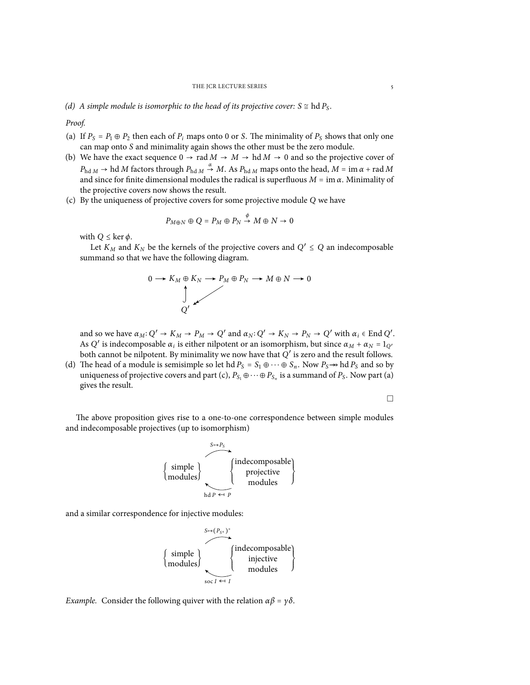*Proof.*

- (a) If  $P_S = P_1 \oplus P_2$  then each of  $P_i$  maps onto 0 or *S*. The minimality of  $P_S$  shows that only one can map onto *S* and minimality again shows the other must be the zero module.
- (b) We have the exact sequence  $0 \rightarrow \text{rad } M \rightarrow M \rightarrow \text{hd } M \rightarrow 0$  and so the projective cover of  $P_{\text{hd }M} \to \text{hd } M$  factors through  $P_{\text{hd }M} \stackrel{\alpha}{\to} M$ . As  $P_{\text{hd }M}$  maps onto the head,  $M = \text{im } \alpha + \text{rad } M$ and since for finite dimensional modules the radical is superfluous  $M = \text{im } \alpha$ . Minimality of the projective covers now shows the result.
- (c) By the uniqueness of projective covers for some projective module *Q* we have

$$
P_{M \oplus N} \oplus Q = P_M \oplus P_N \stackrel{\phi}{\to} M \oplus N \to 0
$$

with  $Q \leq \ker \phi$ .

Let  $K_M$  and  $K_N$  be the kernels of the projective covers and  $Q' \leq Q$  an indecomposable summand so that we have the following diagram.



and so we have  $\alpha_M$ :  $Q' \rightarrow K_M \rightarrow P_M \rightarrow Q'$  and  $\alpha_N$ :  $Q' \rightarrow K_N \rightarrow P_N \rightarrow Q'$  with  $\alpha_i \in$  End  $Q'$ . As *Q*<sup>'</sup> is indecomposable  $\alpha_i$  is either nilpotent or an isomorphism, but since  $\alpha_M + \alpha_N = 1_Q$ <sup>*i*</sup> both cannot be nilpotent. By minimality we now have that *Q* ′ is zero and the result follows.

(d) The head of a module is semisimple so let hd  $P_S = S_1 \oplus \cdots \oplus S_n$ . Now  $P_S \rightarrow \text{hd } P_S$  and so by uniqueness of projective covers and part (c),  $P_{S_1} \oplus \cdots \oplus P_{S_n}$  is a summand of  $P_S$ . Now part (a) gives the result.

$$
\Box
$$

The above proposition gives rise to a one-to-one correspondence between simple modules and indecomposable projectives (up to isomorphism)



and a similar correspondence for injective modules:



*Example.* Consider the following quiver with the relation  $\alpha \beta = \gamma \delta$ .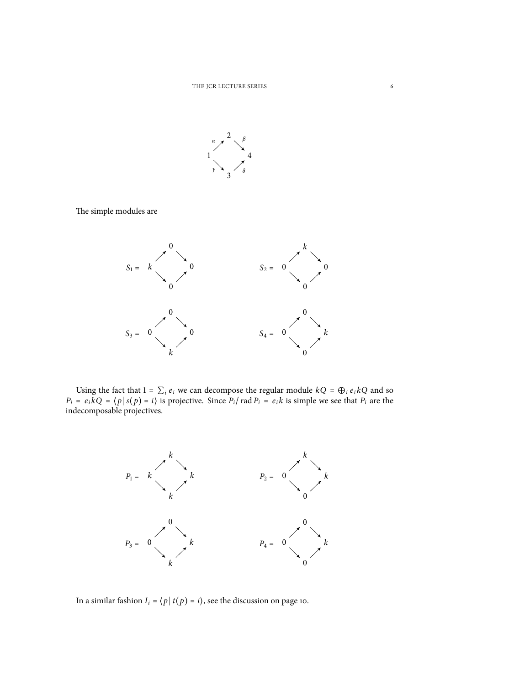

The simple modules are



Using the fact that  $1 = \sum_i e_i$  we can decompose the regular module  $kQ = \bigoplus_i e_i kQ$  and so  $kQ = \bigoplus_i e_i kQ$ .  $P_i = e_i kQ = \langle p | s(p) = i \rangle$  is projective. Since  $P_i / rad P_i = e_i k$  is simple we see that  $P_i$  are the indecomposable projectives.



In a similar fashion  $I_i = \langle p | t(p) = i \rangle$ , see the discussion on page 10.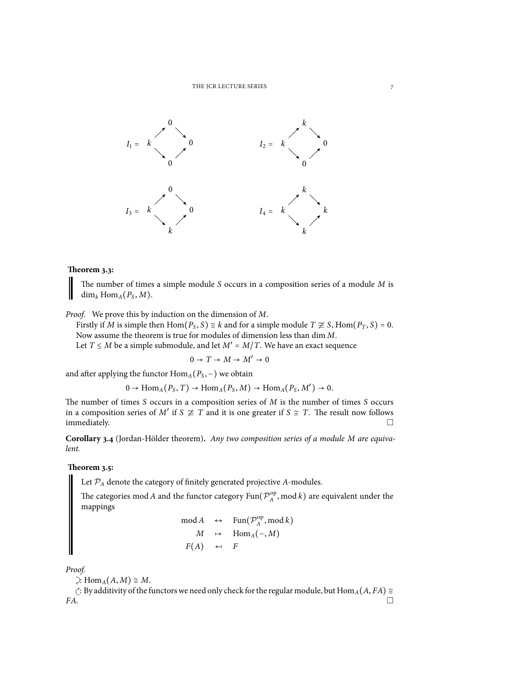

# **Theorem 3.3:**

The number of times a simple module *S* occurs in a composition series of a module *M* is  $\dim_k \text{Hom}_A(P_S, M)$ .

*Proof.* We prove this by induction on the dimension of *M*.

Firstly if *M* is simple then Hom( $P_S$ , *S*)  $\cong$  *k* and for a simple module  $T \not\cong S$ , Hom( $P_T$ , *S*) = 0. Now assume the theorem is true for modules of dimension less than dim *M*.

Let *T* ≤ *M* be a simple submodule, and let  $M' = M/T$ . We have an exact sequence

$$
0 \to T \to M \to M' \to 0
$$

and after applying the functor  $\text{Hom}_{A}(P_{S},-)$  we obtain

$$
0 \to \text{Hom}_A(P_S, T) \to \text{Hom}_A(P_S, M) \to \text{Hom}_A(P_S, M') \to 0.
$$

The number of times *S* occurs in a composition series of *M* is the number of times *S* occurs in a composition series of *M'* if *S*  $\ncong$  *T* and it is one greater if *S*  $\cong$  *T*. The result now follows  $\Box$  immediately.  $\Box$ 

**Corollary 3.4** (Jordan-Hölder theorem)**.** *Any two composition series of a module M are equivalent.*

## **Theorem 3.5:**

Let *P<sup>A</sup>* denote the category of finitely generated projective *A*-modules.

The categories mod *A* and the functor category  $\text{Fun}(\mathcal{P}^{\text{op}}_A$  $A^{\text{op}}$ , mod *k*) are equivalent under the mappings

mod *A* 
$$
\leftrightarrow
$$
 Fun( $\mathcal{P}_A^{\text{op}}$ , mod *k*)  
\n*M*  $\leftrightarrow$  Hom<sub>*A*</sub>(−, *M*)  
\n*F*(*A*)  $\leftrightarrow$  *F*

*Proof.*

 $\geq$ : Hom<sub>*A*</sub>(*A*, *M*) ≅ *M*.

 $\stackrel{\frown}{\mathcal{C}}$ : By additivity of the functors we need only check for the regular module, but Hom<sub>*A*</sub>(*A*, *FA*) ≅ *FA*.  $FA.$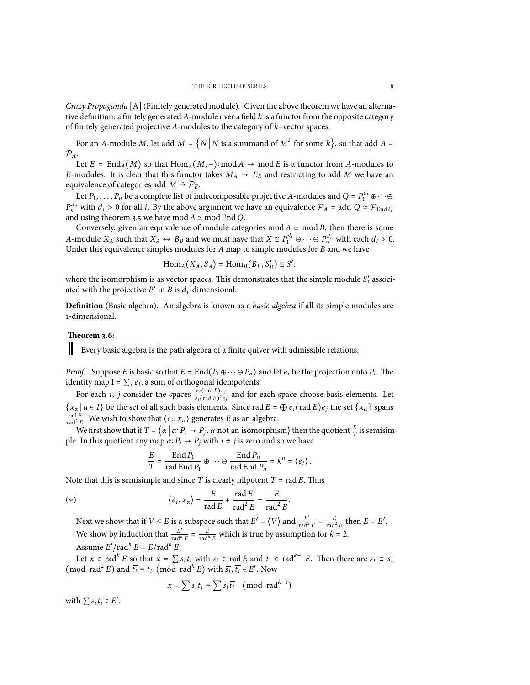*Crazy Propaganda* [A](Finitely generated module)*.* Given the above theorem we have an alternative definition: a finitely generated *A*-module over a field *k* is a functor from the opposite category of finitely generated projective *A*-modules to the category of *k*–vector spaces.

For an *A*-module *M*, let add  $M = \{N | N$  is a summand of  $M^k$  for some  $k\}$ , so that add  $A =$  $\mathcal{P}_A$ .

Let  $E = \text{End}_{A}(M)$  so that  $\text{Hom}_{A}(M, -)$ : mod  $A \rightarrow \text{mod } E$  is a functor from A-modules to *E*-modules. It is clear that this functor takes  $M_A \rightarrow E_E$  and restricting to add M we have an equivalence of categories add *M*  $\approx$   $\mathcal{P}_E$ .

Let  $P_1, \ldots, P_n$  be a complete list of indecomposable projective *A*-modules and  $Q = P_1^{d_1} \oplus \cdots \oplus$  $P_{n}^{d_n}$  with  $d_i > 0$  for all *i*. By the above argument we have an equivalence  $P_A$  = add  $Q \simeq P_{\text{End }Q}$ and using theorem 3.5 we have mod  $A \simeq$  mod End *Q*.

Conversely, given an equivalence of module categories mod  $A \simeq \text{mod } B$ , then there is some *A*-module *X<sub>A</sub>* such that  $X_A \leftrightarrow B_B$  and we must have that  $X \cong P_1^{d_1} \oplus \cdots \oplus P_n^{d_n}$  with each  $d_i > 0$ . Under this equivalence simples modules for *A* map to simple modules for *B* and we have

 $\text{Hom}_{A}(X_A, S_A) = \text{Hom}_{B}(B_B, S'_B) \cong S'.$ 

where the isomorphism is as vector spaces. This demonstrates that the simple module  $S_i'$  associated with the projective  $P'_i$  in *B* is  $d_i$ -dimensional.

**Definition** (Basic algebra)**.** An algebra is known as a *basic algebra* if all its simple modules are 1-dimensional.

## **Theorem 3.6:**

 $\mathsf{l}$ 

Every basic algebra is the path algebra of a finite quiver with admissible relations.

*Proof.* Suppose *E* is basic so that  $E = \text{End}(P_1 \oplus \cdots \oplus P_n)$  and let  $e_i$  be the projection onto  $P_i$ . The identity map  $1 = \sum_i e_i$ , a sum of orthogonal idempotents.

For each *i*, *j* consider the spaces  $\frac{e_i(\text{rad }E)e_j}{e_i(\text{rad }E)^2e_j}$  and for each space choose basis elements. Let  ${x \in I}$  *a* ∈ *I*} be the set of all such basis elements. Since rad  $E = \bigoplus e_i(\text{rad } E)e_j$  the set  ${x \in X}$  spans  $\frac{\text{rad }E}{\text{rad}^2 E}$ . We wish to show that  $\langle e_i, x_\alpha \rangle$  generates *E* as an algebra.

We first show that if  $T = \left\{ \alpha \mid \alpha : P_i \to P_j, \alpha \text{ not an isomorphism} \right\}$  then the quotient  $\frac{E}{T}$  is semisimple. In this quotient any map  $\alpha$ :  $P_i \rightarrow P_j$  with  $i \neq j$  is zero and so we have

$$
\frac{E}{T} = \frac{\operatorname{End} P_1}{\operatorname{rad} \operatorname{End} P_1} \oplus \cdots \oplus \frac{\operatorname{End} P_n}{\operatorname{rad} \operatorname{End} P_n} = k^n = \langle e_i \rangle.
$$

Note that this is semisimple and since  $T$  is clearly nilpotent  $T = \text{rad } E$ . Thus

(\*) 
$$
\langle e_i, x_\alpha \rangle = \frac{E}{\text{rad } E} + \frac{\text{rad } E}{\text{rad}^2 E} = \frac{E}{\text{rad}^2 E}
$$

Next we show that if  $V \le E$  is a subspace such that  $E' = \langle V \rangle$  and  $\frac{E'}{\text{rad}^2 E} = \frac{E}{\text{rad}^2 E}$  then  $E = E'$ . We show by induction that  $\frac{E'}{\text{rad}^k E} = \frac{E}{\text{rad}^k E}$  which is true by assumption for  $k = 2$ . Assume  $E'/\text{rad}^k E = E/\text{rad}^k E$ :

.

Let  $x \in \text{rad}^k E$  so that  $x = \sum s_i t_i$  with  $s_i \in \text{rad } E$  and  $t_i \in \text{rad}^{k-1} E$ . Then there are  $\overline{s_i} \equiv s_i$  $(\text{mod } \text{rad}^2 E) \text{ and } \overline{t_i} \equiv t_i \pmod{\text{rad}^k E} \text{ with } \overline{s_i}, \overline{t_i} \in E'. \text{ Now}$ 

$$
x = \sum s_i t_i \equiv \sum \overline{s_i} \overline{t_i} \pmod{\text{rad}^{k+1}}
$$

with  $\sum \overline{s_i} \overline{t_i} \in E'$ .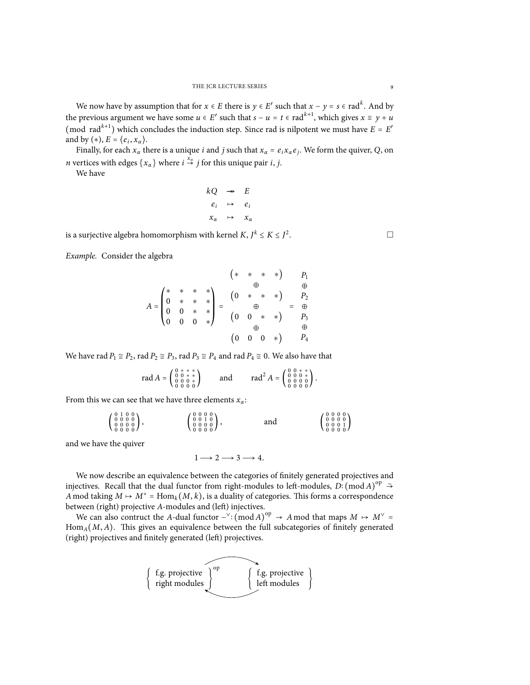We now have by assumption that for  $x \in E$  there is  $y \in E'$  such that  $x - y = s \in \text{rad}^k$ . And by the previous argument we have some  $u \in E'$  such that  $s - u = t \in \text{rad}^{k+1}$ , which gives  $x \equiv y + u$ (mod rad<sup>k+1</sup>) which concludes the induction step. Since rad is nilpotent we must have  $E = E'$ and by (\*),  $E = \langle e_i, x_\alpha \rangle$ .

Finally, for each  $x_\alpha$  there is a unique *i* and *j* such that  $x_\alpha = e_i x_\alpha e_j$ . We form the quiver, *Q*, on *n* vertices with edges  $\{x_\alpha\}$  where  $i \stackrel{x_\alpha}{\rightarrow} j$  for this unique pair *i*, *j*.

We have

$$
kQ \rightarrow E
$$
  
\n
$$
e_i \rightarrow e_i
$$
  
\n
$$
x_\alpha \rightarrow x_\alpha
$$

is a surjective algebra homomorphism with kernel *K*,  $J^k \le K \le J^2$ 

*Example.* Consider the algebra

$$
A = \begin{pmatrix} * & * & * & * \\ 0 & * & * & * \\ 0 & 0 & * & * \\ 0 & 0 & 0 & * \end{pmatrix} = \begin{pmatrix} * & * & * & * \\ 0 & * & * & * \\ 0 & 0 & * & * \\ 0 & 0 & 0 & * \end{pmatrix} = \begin{pmatrix} * & * & * & * \\ 0 & * & * & * \\ 0 & 0 & * & * \\ 0 & 0 & * & * \end{pmatrix} = \begin{pmatrix} * & * & * & * \\ 0 & * & * & * \\ 0 & 0 & * & * \\ 0 & 0 & * & * \end{pmatrix}
$$

We have rad  $P_1 \cong P_2$ , rad  $P_2 \cong P_3$ , rad  $P_3 \cong P_4$  and rad  $P_4 \cong 0$ . We also have that

 $0.0000$ 

rad 
$$
A = \begin{pmatrix} 0 & * & * & * \\ 0 & 0 & * & * \\ 0 & 0 & 0 & * \\ 0 & 0 & 0 & 0 \end{pmatrix}
$$
 and  $rad^2 A = \begin{pmatrix} 0 & 0 & * & * \\ 0 & 0 & 0 & * \\ 0 & 0 & 0 & 0 \\ 0 & 0 & 0 & 0 \end{pmatrix}$ .

From this we can see that we have three elements *xα*:

$$
\begin{pmatrix} 0 & 1 & 0 & 0 \\ 0 & 0 & 0 & 0 \\ 0 & 0 & 0 & 0 \\ 0 & 0 & 0 & 0 \end{pmatrix}, \qquad \qquad \begin{pmatrix} 0 & 0 & 0 & 0 \\ 0 & 0 & 1 & 0 \\ 0 & 0 & 0 & 0 \\ 0 & 0 & 0 & 0 \end{pmatrix}, \qquad \text{and} \qquad \begin{pmatrix} 0 & 0 & 0 & 0 \\ 0 & 0 & 0 & 0 \\ 0 & 0 & 0 & 1 \\ 0 & 0 & 0 & 0 \end{pmatrix}
$$

and we have the quiver

$$
1 \longrightarrow 2 \longrightarrow 3 \longrightarrow 4.
$$

We now describe an equivalence between the categories of finitely generated projectives and injectives. Recall that the dual functor from right-modules to left-modules, *D*∶ (mod *A*)<sup>op</sup>  $\rightarrow$ *A* mod taking  $M \mapsto M^* = \text{Hom}_k(M, k)$ , is a duality of categories. This forms a correspondence between (right) projective *A*-modules and (left) injectives.

We can also contruct the *A*-dual functor  $-\vee$ :  $(\text{mod } A)^{\text{op}} \rightarrow A \text{ mod that maps } M \mapsto M^{\vee} =$ <br>m.  $(M, A)$ . This gives an aquivalence hat weap the full substitution of funitally consumpted  $Hom_A(M, A)$ . This gives an equivalence between the full subcategories of finitely generated (right) projectives and finitely generated (left) projectives.



. □

 $0.000$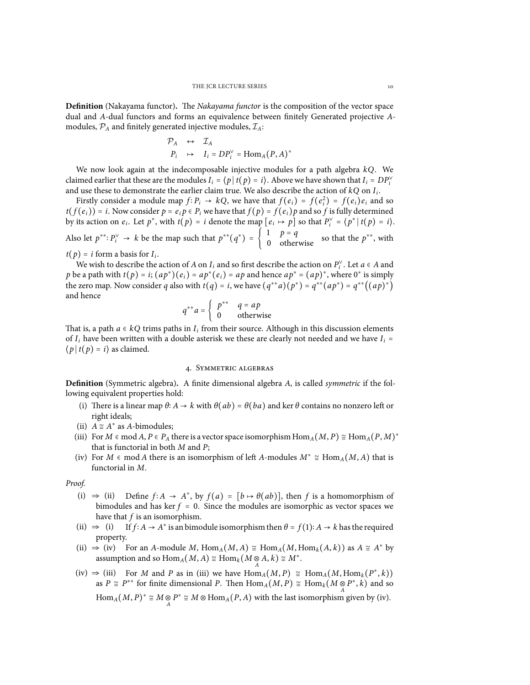**Definition** (Nakayama functor)**.** The *Nakayama functor* is the composition of the vector space dual and *A*-dual functors and forms an equivalence between finitely Generated projective *A*modules,  $P_A$  and finitely generated injective modules,  $\mathcal{I}_A$ :

$$
\mathcal{P}_A \leftrightarrow \mathcal{I}_A
$$
  
\n
$$
P_i \leftrightarrow I_i = DP_i^{\vee} = \text{Hom}_A(P, A)^*
$$

We now look again at the indecomposable injective modules for a path algebra *kQ*. We claimed earlier that these are the modules  $I_i = \langle p | t(p) = i \rangle$ . Above we have shown that  $I_i = DP_i^{\vee}$ and use these to demonstrate the earlier claim true. We also describe the action of *kQ* on *I<sup>i</sup>* .

Firstly consider a module map  $f: P_i \to kQ$ , we have that  $f(e_i) = f(e_i^2) = f(e_i)e_i$  and so  $f(e_i)$ ) is Moreoversident and  $g: R$  and so  $f(e_i) = f(e_i)e_i$  $t(f(e_i)) = i$ . Now consider  $p = e_i p \in P_i$  we have that  $f(p) = f(e_i)p$  and so f is fully determined by its action on  $e_i$ . Let  $p^*$ , with  $t(p) = i$  denote the map  $[e_i \mapsto p]$  so that  $P_i^{\vee} = \langle p^* | t(p) = i \rangle$ . Also let  $p^{**}: P_i^{\vee} \to k$  be the map such that  $p^{**}(q^*) = \begin{cases} 1 & p = q \\ 0 & \text{otherwise} \end{cases}$  so that the  $p^{**}$ , with  $t(p) = i$  form a basis for  $I_i$ .

We wish to describe the action of *A* on *I<sub>i</sub>* and so first describe the action on  $P_i^{\vee}$ . Let  $a \in A$  and  $a \in A$  and  $b \in A$  and  $b \in A$  and  $b \in A$  and  $b \in A$ . *p* be a path with  $t(p) = i$ ;  $(ap^*)(e_i) = ap^*(e_i) = ap$  and hence  $ap^* = (ap)^*$ , where 0<sup>\*</sup> is simply the zero map. Now consider *q* also with  $t(q) = i$ , we have  $(q^{**}a)(p^*) = q^{**}(ap^*) = q^{**}((ap)^*)$ and hence

$$
q^{**}a = \begin{cases} p^{**} & q = ap \\ 0 & \text{otherwise} \end{cases}
$$

That is, a path  $a \in kQ$  trims paths in  $I_i$  from their source. Although in this discussion elements of *I* have been vuitten with a double estatisty we these are clearly not needed and we have *I* of  $I_i$  have been written with a double asterisk we these are clearly not needed and we have  $I_i =$  $\langle p | t(p) = i \rangle$  as claimed.

#### 4. Symmetric algebras

**Definition** (Symmetric algebra)**.** A finite dimensional algebra *A*, is called *symmetric* if the following equivalent properties hold:

- (i) There is a linear map  $\theta$ :  $A \to k$  with  $\theta(ab) = \theta(ba)$  and ker  $\theta$  contains no nonzero left or right ideals;
- (ii)  $A \cong A^*$  as *A*-bimodules;
- (iii) For  $M \in \text{mod } A$ ,  $P \in P_A$  there is a vector space isomorphism  $\text{Hom}_A(M, P) \cong \text{Hom}_A(P, M)^*$ that is functorial in both *M* and *P*;
- (iv) For *M*  $\in$  mod *A* there is an isomorphism of left *A*-modules  $M^* \cong \text{Hom}_A(M, A)$  that is functorial in *M*.

*Proof.*

- (i)  $\Rightarrow$  (ii) Define *f* ∶ *A*  $\rightarrow$  *A*<sup>\*</sup>, by *f* (*a*) = [*b*  $\leftrightarrow$  *θ*(*ab*)], then *f* is a homomorphism of bimodules and has ker  $f = 0$ . Since the modules are isomorphic as vector spaces we have that *f* is an isomorphism.
- (ii)  $\Rightarrow$  (i) If  $f: A \rightarrow A^*$  is an bimodule isomorphism then  $\theta = f(1): A \rightarrow k$  has the required property.
- (ii)  $\Rightarrow$  (iv) For an *A*-module *M*, Hom<sub>*A*</sub>(*M*, *A*)  $\cong$  Hom<sub>*A*</sub>(*M*, Hom<sub>*k*</sub>(*A*, *k*)) as *A*  $\cong$  *A*<sup>\*</sup> by assumption and so  $\text{Hom}_A(M, A) \cong \text{Hom}_k(M \otimes A, k) \cong M^*$ .
- (iv)  $\Rightarrow$  (iii) For *M* and *P* as in (iii) we have  $\text{Hom}_A(M, P) \cong \text{Hom}_A(M, \text{Hom}_k(P^*, k))$ as  $P \cong P^{**}$  for finite dimensional *P*. Then  $\text{Hom}_A(M, P) \cong \text{Hom}_k(M \otimes P^*, k)$  and so  $\text{Hom}_A(M, P)^* \cong M \otimes P^* \cong M \otimes \text{Hom}_A(P, A)$  with the last isomorphism given by (iv).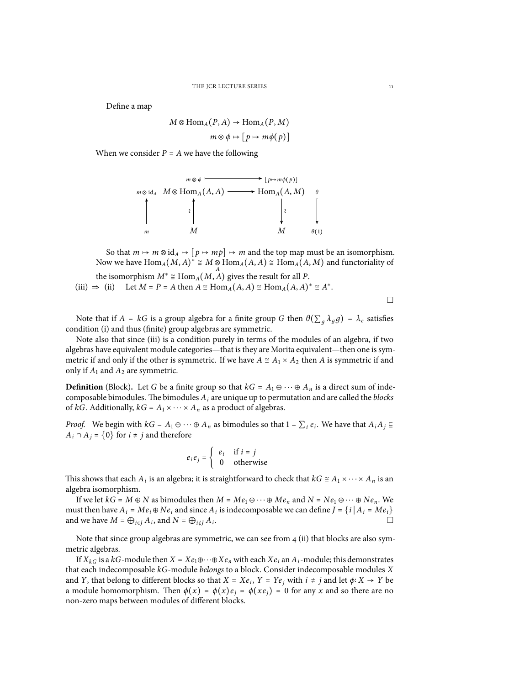Define a map

$$
M \otimes \text{Hom}_A(P, A) \to \text{Hom}_A(P, M)
$$

$$
m \otimes \phi \mapsto [p \mapsto m\phi(p)]
$$

When we consider  $P = A$  we have the following



So that  $m \mapsto m \otimes id_A \mapsto [p \mapsto mp] \mapsto m$  and the top map must be an isomorphism. Now we have  $\text{Hom}_A(M, A)^* \cong M \otimes \text{Hom}_A(A, A) \cong \text{Hom}_A(A, M)$  and functoriality of

the isomorphism 
$$
M^* \cong \text{Hom}_A(M, A)
$$
 gives the result for all *P*.  
(iii)  $\Rightarrow$  (ii) Let  $M = P = A$  then  $A \cong \text{Hom}_A(A, A) \cong \text{Hom}_A(A, A)^* \cong A^*$ .

□

Note that if  $A = kG$  is a group algebra for a finite group G then  $\theta(\sum_a \lambda_a g) = \lambda_e$  satisfies condition (i) and thus (finite) group algebras are symmetric.

Note also that since (iii) is a condition purely in terms of the modules of an algebra, if two algebras have equivalent module categories—that is they are Morita equivalent—then one is symmetric if and only if the other is symmetric. If we have  $A \cong A_1 \times A_2$  then *A* is symmetric if and only if  $A_1$  and  $A_2$  are symmetric.

**Definition** (Block). Let *G* be a finite group so that  $kG = A_1 \oplus \cdots \oplus A_n$  is a direct sum of indecomposable bimodules. The bimodules *A<sup>i</sup>* are unique up to permutation and are called the *blocks* of *kG*. Additionally,  $k = A_1 \times \cdots \times A_n$  as a product of algebras.

*Proof.* We begin with  $kG = A_1 \oplus \cdots \oplus A_n$  as bimodules so that  $1 = \sum_i e_i$ . We have that  $A_i A_j \subseteq$  $A_i \cap A_j = \{0\}$  for  $i \neq j$  and therefore

$$
e_i e_j = \begin{cases} e_i & \text{if } i = j \\ 0 & \text{otherwise} \end{cases}
$$

This shows that each *A*<sup>*i*</sup> is an algebra; it is straightforward to check that  $kG \cong A_1 \times \cdots \times A_n$  is an algebra isomorphism. algebra isomorphism.

If we let  $kG = M \oplus N$  as bimodules then  $M = Me_1 \oplus \cdots \oplus Me_n$  and  $N = Ne_1 \oplus \cdots \oplus Ne_n$ . We must then have  $A_i = Me_i \oplus Ne_i$  and since  $A_i$  is indecomposable we can define  $J = \{i | A_i = Me_i\}$ and we have  $M = \bigoplus_{i \in J} A_i$ , and  $N = \bigoplus_{i \notin J} A_i$ . □

Note that since group algebras are symmetric, we can see from  $4$  (ii) that blocks are also symmetric algebras.

If  $X_{kG}$  is a *kG*-module then  $X = Xe_1 \oplus \cdots \oplus Xe_n$  with each  $Xe_i$  an  $A_i$ -module; this demonstrates that each indecomposable *kG*-module *belongs* to a block. Consider indecomposable modules *X* and *Y*, that belong to different blocks so that  $X = Xe_i$ ,  $Y = Ye_j$  with  $i \neq j$  and let  $\phi: X \to Y$  be a module homomorphism. Then  $\phi(x) = \phi(x)e_i = \phi(xe_i) = 0$  for any x and so there are no non-zero maps between modules of different blocks.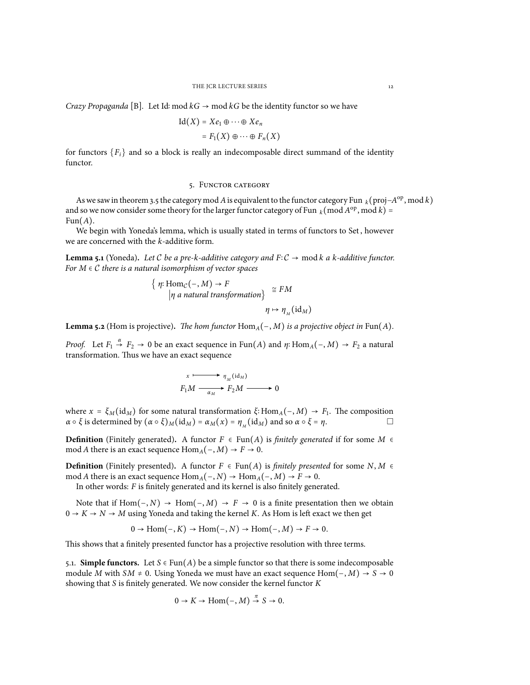*Crazy Propaganda* [B]. Let Id: mod  $kG \rightarrow \text{mod } kG$  be the identity functor so we have

$$
Id(X) = Xe_1 \oplus \cdots \oplus Xe_n
$$
  
=  $F_1(X) \oplus \cdots \oplus F_n(X)$ 

for functors  ${F_i}$  and so a block is really an indecomposable direct summand of the identity functor.

## 5. Functor category

As we saw in theorem 3.5 the category mod *A* is equivalent to the functor category Fun  $_k$  (proj−*A*<sup>op</sup>, mod *k*) and so we now consider some theory for the larger functor category of Fun  $_k \pmod{A^{\text{op}}}$ , mod  $k$ ) =  $Fun(A).$ 

We begin with Yoneda's lemma, which is usually stated in terms of functors to Set, however we are concerned with the *k*-additive form.

**Lemma 5.1** (Yoneda). Let C be a pre-k-additive category and  $F: C \rightarrow \text{mod } k$  a k-additive functor. *For <sup>M</sup>* <sup>∈</sup> *<sup>C</sup> there is a natural isomorphism of vector spaces*

$$
\{ \eta: \text{Hom}_{\mathcal{C}}(-, M) \to F
$$
  
|\eta a natural transformation $\} \cong FM$   

$$
\eta \mapsto \eta_M(\text{id}_M)
$$

**Lemma 5.2** (Hom is projective). The hom functor  $Hom_A(-, M)$  is a projective object in  $Fun(A)$ .

*Proof.* Let  $F_1 \stackrel{\alpha}{\rightarrow} F_2 \rightarrow 0$  be an exact sequence in Fun(*A*) and *η*∶Hom<sub>*A*</sub>(−, *M*) →  $F_2$  a natural transformation. Thus we have an exact sequence

$$
x \xrightarrow{\qquad} \eta_M(\text{id}_M)
$$
  

$$
F_1 M \xrightarrow{\qquad} F_2 M \xrightarrow{\qquad} 0
$$

where  $x = \xi_M(\mathrm{id}_M)$  for some natural transformation  $\xi: \mathrm{Hom}_A(-, M) \to F_1$ . The composition  $\mathrm{Hom}_A(A, H)$  for  $\mathrm{id}_A$  is a state of  $\mathrm{Hom}_A$ *α* ο *ξ* is determined by  $(α ∘ ξ)_{M}(id_{M}) = α_{M}(x) = η_{M}(id_{M})$  and so  $α ∘ ξ = η$ . □

**Definition** (Finitely generated). A functor  $F \in \text{Fun}(A)$  is *finitely generated* if for some  $M \in$ mod *A* there is an exact sequence  $\text{Hom}_{A}(-, M) \rightarrow F \rightarrow 0$ .

**Definition** (Finitely presented). A functor  $F ∈ \text{Fun}(A)$  is *finitely presented* for some  $N, M ∈ \text{Fun}(A)$ mod *A* there is an exact sequence  $Hom_A(-, N) \to Hom_A(-, M) \to F \to 0$ .

In other words: *F* is finitely generated and its kernel is also finitely generated.

Note that if  $Hom(-, N)$  →  $Hom(-, M)$  →  $F \rightarrow 0$  is a finite presentation then we obtain  $0 \rightarrow K \rightarrow N \rightarrow M$  using Yoneda and taking the kernel *K*. As Hom is left exact we then get

$$
0 \to \text{Hom}(-, K) \to \text{Hom}(-, N) \to \text{Hom}(-, M) \to F \to 0.
$$

This shows that a finitely presented functor has a projective resolution with three terms.

5.1. **Simple functors.** Let  $S \in Fun(A)$  be a simple functor so that there is some indecomposable module *M* with  $SM \neq 0$ . Using Yoneda we must have an exact sequence Hom $(-, M) \rightarrow S \rightarrow 0$ showing that *S* is finitely generated. We now consider the kernel functor *K*

$$
0 \to K \to \mathrm{Hom}\big({-}, M\big) \overset{\pi}{\to} S \to 0.
$$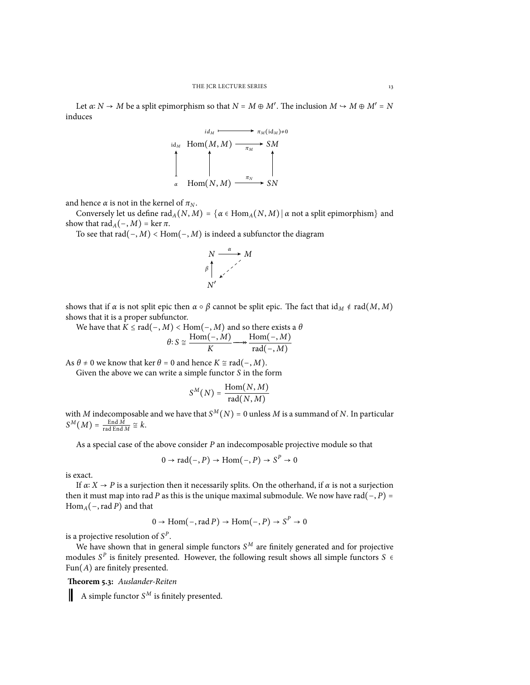Let *<sup>α</sup>*<sup>∶</sup> *<sup>N</sup>* <sup>→</sup> *<sup>M</sup>* be a split epimorphism so that *<sup>N</sup>* <sup>=</sup> *<sup>M</sup>* <sup>⊕</sup> *<sup>M</sup>*′ . The inclusion *<sup>M</sup>* ↪ *<sup>M</sup>* <sup>⊕</sup> *<sup>M</sup>*′ <sup>=</sup> *<sup>N</sup>* induces

*id<sup>M</sup> π<sup>M</sup>* (id*<sup>M</sup>* )≠0 id*<sup>M</sup>* Hom(*M*, *M*) *SM <sup>α</sup>* Hom(*N*, *M*) *SN π<sup>M</sup> π<sup>N</sup>*

and hence  $\alpha$  is not in the kernel of  $\pi_N$ .

Conversely let us define  $\text{rad}_A(N, M) = \{ \alpha \in \text{Hom}_A(N, M) \mid \alpha \text{ not a split epimorphism} \}$  and show that  $\text{rad}_A(-, M) = \ker \pi$ .

To see that rad(−, *<sup>M</sup>*) <sup>&</sup>lt; Hom(−, *<sup>M</sup>*) is indeed a subfunctor the diagram

$$
N \xrightarrow{\alpha} M
$$
\n
$$
\beta \uparrow \qquad \qquad \swarrow
$$
\n
$$
N'
$$

shows that if *α* is not split epic then  $\alpha \circ \beta$  cannot be split epic. The fact that id<sub>*M*</sub>  $\notin$  rad(*M*, *M*) shows that it is a proper subfunctor.

 $\mathsf{W}\mathsf{e}$  have that  $K \leq \mathsf{rad}(-, M) < \mathsf{Hom}(-, M)$  and so there exists a  $\theta$ <br> $\mathsf{Hom}(-, M)$   $\mathsf{Hom}(-, M)$  $\theta$ <sup>2</sup>  $S \cong \frac{\text{Hom}(-, M)}{K}$  $\frac{(-, M)}{K} \longrightarrow \frac{\text{Hom}(-, M)}{\text{rad}(-, M)}$ rad(−, *M*)

As  $\theta \neq 0$  we know that ker  $\theta = 0$  and hence  $K \cong \text{rad}(-, M)$ .

Given the above we can write a simple functor *S* in the form

$$
S^M(N) = \frac{\text{Hom}(N, M)}{\text{rad}(N, M)}
$$

with *M* indecomposable and we have that  $S^M(N) = 0$  unless *M* is a summand of *N*. In particular  $S^M(M) = \frac{\text{End } M}{\text{rad } \text{End } M} \cong k$ .

As a special case of the above consider *P* an indecomposable projective module so that

$$
0 \to \text{rad}(-, P) \to \text{Hom}(-, P) \to S^P \to 0
$$

is exact.

If  $\alpha$ :  $X \to P$  is a surjection then it necessarily splits. On the otherhand, if  $\alpha$  is not a surjection then it must map into rad *P* as this is the unique maximal submodule. We now have rad( $-, P$ ) = Hom*A*(−,rad *P*) and that

$$
0 \to \text{Hom}(-, \text{rad } P) \to \text{Hom}(-, P) \to S^P \to 0
$$

is a projective resolution of  $S^P$ .

We have shown that in general simple functors *S <sup>M</sup>* are finitely generated and for projective modules  $S^P$  is finitely presented. However, the following result shows all simple functors  $S \in \text{Fun}(A)$  are finitely presented. Fun(*A*) are finitely presented.

**Theorem 5.3:** *Auslander-Reiten*

Ш A simple functor *S <sup>M</sup>* is finitely presented.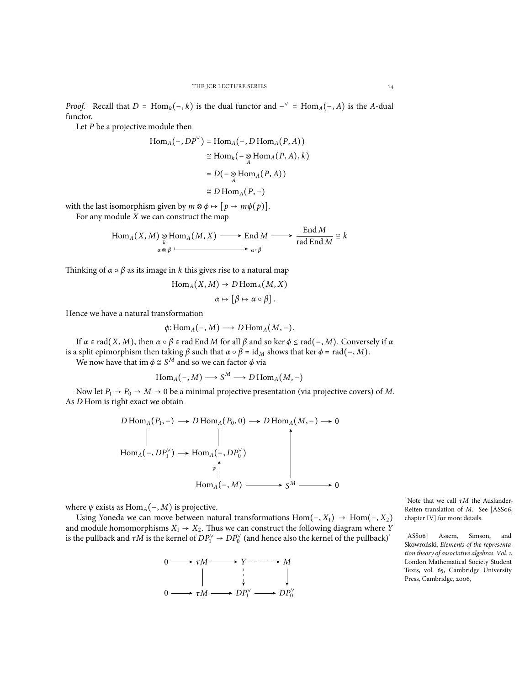*Proof.* Recall that  $D = \text{Hom}_k(-, k)$  is the dual functor and  $-\text{Var}(-, A)$  is the *A*-dual functor functor.

Let *P* be a projective module then

$$
Hom_A(-, DP^{\vee}) = Hom_A(-, D\operatorname{Hom}_A(P, A))
$$
  
\n
$$
\cong Hom_k(- \underset{A}{\otimes} Hom_A(P, A), k)
$$
  
\n
$$
= D(- \underset{A}{\otimes} Hom_A(P, A))
$$
  
\n
$$
\cong D\operatorname{Hom}_A(P, -)
$$

with the last isomorphism given by  $m \otimes \phi \mapsto [p \mapsto m\phi(p)]$ .

For any module *X* we can construct the map

$$
Hom_A(X, M) \underset{\alpha \otimes \beta}{\otimes} Hom_A(M, X) \longrightarrow End M \longrightarrow \frac{End M}{rad End M} \cong k
$$

 $E = 1 \lambda t$ 

Thinking of  $\alpha \circ \beta$  as its image in *k* this gives rise to a natural map

$$
Hom_A(X, M) \to D \operatorname{Hom}_A(M, X)
$$

$$
\alpha \mapsto [\beta \mapsto \alpha \circ \beta].
$$

Hence we have a natural transformation

$$
\phi: \text{Hom}_A(-,M) \longrightarrow D \text{Hom}_A(M,-).
$$

If *<sup>α</sup>* <sup>∈</sup> rad(*X*, *<sup>M</sup>*), then *<sup>α</sup>* ○ *<sup>β</sup>* <sup>∈</sup> rad End *<sup>M</sup>* for all *<sup>β</sup>* and so ker *<sup>ϕ</sup>* <sup>≤</sup> rad(−, *<sup>M</sup>*). Conversely if *<sup>α</sup>* is a split epimorphism then taking *β* such that  $\alpha \circ \beta = id_M$  shows that ker  $\phi = rad(-, M)$ .

We now have that im  $\phi \cong S^M$  and so we can factor  $\phi$  via

$$
Hom_A(-, M) \longrightarrow S^M \longrightarrow D\operatorname{Hom}_A(M, -)
$$

Now let  $P_1 \rightarrow P_0 \rightarrow M \rightarrow 0$  be a minimal projective presentation (via projective covers) of *M*. As *D* Hom is right exact we obtain

$$
D\operatorname{Hom}_A(P_1, -) \longrightarrow D\operatorname{Hom}_A(P_0, 0) \longrightarrow D\operatorname{Hom}_A(M, -) \longrightarrow 0
$$
  
\n
$$
\parallel \qquad \qquad \parallel
$$
  
\n
$$
\operatorname{Hom}_A(-, DP_1^{\vee}) \longrightarrow \operatorname{Hom}_A(-, DP_0^{\vee})
$$
  
\n
$$
\downarrow^{\uparrow}
$$
  
\n
$$
\operatorname{Hom}_A(-, M) \longrightarrow S^M \longrightarrow 0
$$

where  $\psi$  exists as Hom<sub>*A*</sub>(−, *M*) is projective.

Using Yoneda we can move between natural transformations Hom(−, *X*1) → Hom(−, *X*2) and module homomorphisms  $X_1 \rightarrow X_2$ . Thus we can construct the following diagram where *Y* is the pullback and  $\tau M$  is the kernel of  $DP_1^{\vee} \to DP_0^{\vee}$  (and hence also the kernel of the pullback)<sup>\*</sup>



\*Note that we call *τM* the Auslander-Reiten translation of *M*. See [ASS06, chapter IV] for more details.

[ASS06] Assem, Simson, and Skowroński, *Elements of the representation theory of associative algebras. Vol. 1*, London Mathematical Society Student Texts, vol. 65, Cambridge University Press, Cambridge, 2006,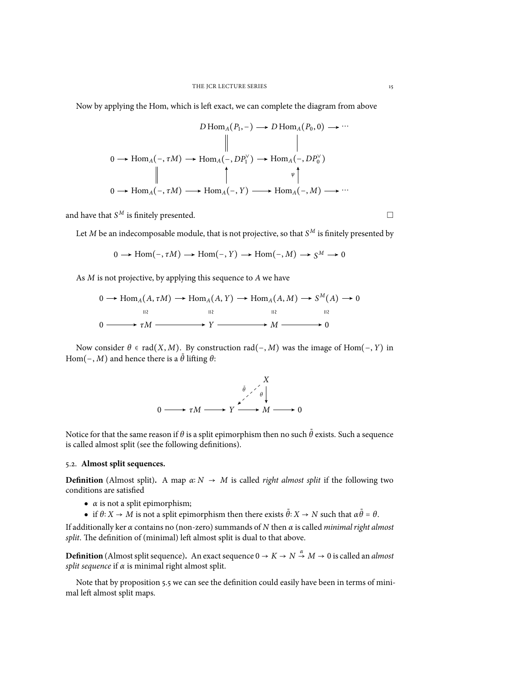Now by applying the Hom, which is left exact, we can complete the diagram from above

$$
D\operatorname{Hom}_{A}(P_{1},-) \to D\operatorname{Hom}_{A}(P_{0},0) \to \cdots
$$
\n
$$
0 \to \operatorname{Hom}_{A}(-, \tau M) \to \operatorname{Hom}_{A}(-, DP_{1}^{V}) \to \operatorname{Hom}_{A}(-, DP_{0}^{V})
$$
\n
$$
\parallel \qquad \qquad \downarrow \qquad \qquad \downarrow
$$
\n
$$
0 \to \operatorname{Hom}_{A}(-, \tau M) \longrightarrow \operatorname{Hom}_{A}(-, Y) \longrightarrow \operatorname{Hom}_{A}(-, M) \longrightarrow \cdots
$$

and have that  $\mathcal{S}^M$  is finitely presented.  $\Box$ 

Let *M* be an indecomposable module, that is not projective, so that *S <sup>M</sup>* is finitely presented by

$$
0 \longrightarrow \text{Hom}(-, \tau M) \longrightarrow \text{Hom}(-, Y) \longrightarrow \text{Hom}(-, M) \longrightarrow S^M \longrightarrow 0
$$

As *M* is not projective, by applying this sequence to *A* we have

$$
0 \longrightarrow \text{Hom}_{A}(A, \tau M) \longrightarrow \text{Hom}_{A}(A, Y) \longrightarrow \text{Hom}_{A}(A, M) \longrightarrow S^{M}(A) \longrightarrow 0
$$
  

$$
\xrightarrow{\text{II2}} \text{II2} \qquad \xrightarrow{\text{II2}} \text{II2}
$$
  

$$
0 \longrightarrow \tau M \longrightarrow Y \longrightarrow M \longrightarrow 0
$$

Now consider  $\theta$  ∈ rad(*X*, *M*). By construction rad(−, *M*) was the image of Hom(−, *Y*) in Hom( $-, M$ ) and hence there is a  $\tilde{\theta}$  lifting  $\theta$ :



Notice for that the same reason if  $\theta$  is a split epimorphism then no such  $\tilde{\theta}$  exists. Such a sequence is called almost split (see the following definitions).

# 5.2. **Almost split sequences.**

**Definition** (Almost split). A map  $\alpha: N \to M$  is called *right almost split* if the following two conditions are satisfied

- $\bullet$  *α* is not a split epimorphism;
- $\bullet$  if *θ*∶ *X* → *M* is not a split epimorphism then there exists  $\tilde{\theta}$ ∶ *X* → *N* such that  $\alpha \tilde{\theta} = \theta$ .

If additionally ker *α* contains no (non-zero) summands of *N* then *α* is called *minimal right almost split*. The definition of (minimal) left almost split is dual to that above.

**Definition** (Almost split sequence). An exact sequence  $0 \to K \to N \stackrel{\alpha}{\to} M \to 0$  is called an *almost split sequence* if *α* is minimal right almost split.

Note that by proposition 5.5 we can see the definition could easily have been in terms of minimal left almost split maps.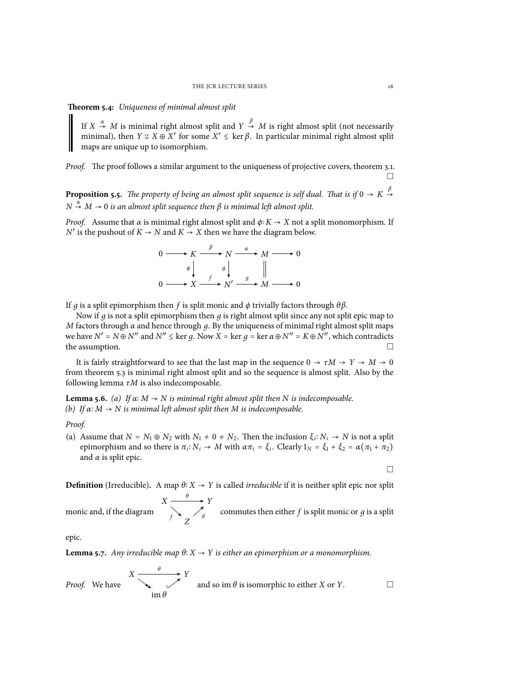### **Theorem 5.4:** *Uniqueness of minimal almost split*

If  $X \stackrel{\alpha}{\rightarrow} M$  is minimal right almost split and  $Y \stackrel{\beta}{\rightarrow} M$  is right almost split (not necessarily minimal), then *Y* ≅ *X* ⊕ *X'* for some *X'* ≤ kerβ. In particular minimal right almost split manage are unique up to isomorphism maps are unique up to isomorphism.

*Proof.* The proof follows a similar argument to the uniqueness of projective covers, theorem 3.1. □

**Proposition 5.5.** *The property of being an almost split sequence is self dual. That is if*  $0 \to K \stackrel{\beta}{\to}$  $\rightarrow$  $N \stackrel{\alpha}{\rightarrow} M \rightarrow 0$  *is an almost split sequence then*  $\beta$  *is minimal left almost split.* 

*Proof.* Assume that  $\alpha$  is minimal right almost split and  $\phi$ :  $K \rightarrow X$  not a split monomorphism. If  $N'$  is the pushout of  $K \to N$  and  $K \to X$  then we have the diagram below.

$$
0 \longrightarrow K \xrightarrow{\beta} N \xrightarrow{\alpha} M \longrightarrow 0
$$
  
\n
$$
\phi \downarrow \qquad \theta \downarrow \qquad \qquad \downarrow
$$
  
\n
$$
0 \longrightarrow X \xrightarrow{f} N' \xrightarrow{g} M \longrightarrow 0
$$

If *д* is a split epimorphism then *f* is split monic and *ϕ* trivially factors through *θβ*.

Now if *д* is not a split epimorphism then *д* is right almost split since any not split epic map to *M* factors through  $\alpha$  and hence through  $q$ . By the uniqueness of minimal right almost split maps we have *N* ′ <sup>=</sup> *<sup>N</sup>* <sup>⊕</sup> *<sup>N</sup>* ′′ and *N* ′′ <sup>≤</sup> ker *<sup>д</sup>*. Now *<sup>X</sup>* <sup>=</sup> ker *<sup>д</sup>* <sup>=</sup> ker *<sup>α</sup>*<sup>⊕</sup> *<sup>N</sup>* ′′ <sup>=</sup> *<sup>K</sup>*<sup>⊕</sup> *<sup>N</sup>* ′′, which contradicts the assumption.  $\Box$ 

It is fairly straightforward to see that the last map in the sequence  $0 \to \tau M \to Y \to M \to 0$ from theorem 5.3 is minimal right almost split and so the sequence is almost split. Also by the following lemma *τM* is also indecomposable.

**Lemma 5.6.** *(a) If*  $\alpha$ <sup>*: M* → *N is minimal right almost split then N is indecomposable.*</sup> *(b) If α*∶ *M* → *N is minimal left almost split then M is indecomposable.*

# *Proof.*

(a) Assume that  $N = N_1 \oplus N_2$  with  $N_1 \neq 0 \neq N_2$ . Then the inclusion  $\xi_i: N_i \to N$  is not a splitt expression of a splitt expression  $X_i$  of  $\zeta_i: \zeta_i \to \zeta_i$ epimorphism and so there is  $π_i$ :  $N_i$  →  $M$  with  $απ_i = ξ_i$ . Clearly  $1_N = ξ_1 + ξ_2 = α(π_1 + π_2)$ and  $\alpha$  is split epic.

□

**Definition** (Irreducible). A map  $\theta$ :  $X \rightarrow Y$  is called *irreducible* if it is neither split epic nor split  $X \longrightarrow Y$ *θ*

monic and, if the diagram *Z*  $f \leftarrow f$  commutes then either *f* is split monic or *g* is a split

epic.

**Lemma 5.7.** *Any irreducible map*  $θ$ : *X* → *Y is either an epimorphism or a monomorphism.* 

*Proof.* We have 
$$
\begin{array}{ccc}\nX & \xrightarrow{\theta} & Y \\
\hline\n\downarrow & \nearrow & \text{and so im }\theta \text{ is isomorphic to either } X \text{ or } Y.\n\end{array}
$$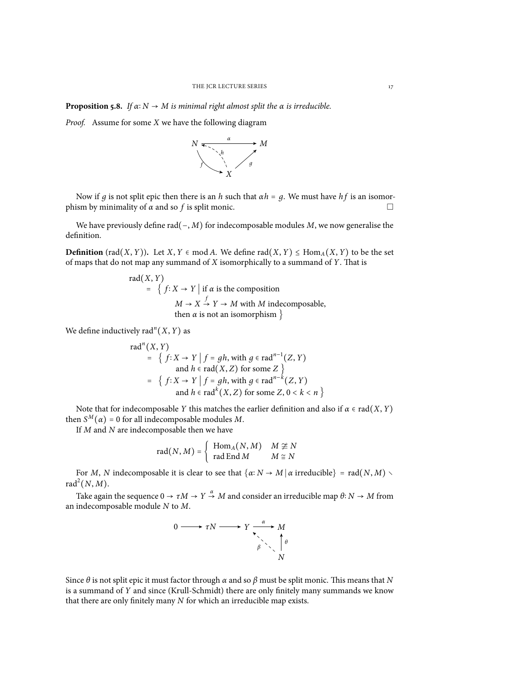**Proposition 5.8.** *If*  $\alpha$ :  $N \rightarrow M$  *is minimal right almost split the*  $\alpha$  *is irreducible.* 

*Proof.* Assume for some *X* we have the following diagram



Now if *g* is not split epic then there is an *h* such that  $αh = g$ . We must have *hf* is an isomor-<br>ism by minimality of *α* and so *f* is split monic phism by minimality of  $\alpha$  and so  $f$  is split monic.

We have previously define rad(−, *M*) for indecomposable modules *M*, we now generalise the definition.

**Definition** (rad(*X*, *Y*)). Let *X*, *Y*  $\in$  mod *A*. We define rad(*X*, *Y*)  $\leq$  Hom<sub>*A*</sub>(*X*, *Y*) to be the set of maps that do not map any summand of *X* isomorphically to a summand of *Y*. That is

rad(X, Y)  
\n= { 
$$
f: X \rightarrow Y
$$
 | if α is the composition  
\n $M \rightarrow X \stackrel{f}{\rightarrow} Y \rightarrow M$  with *M* indecomposable,  
\nthen α is not an isomorphism }

We define inductively rad<sup>n</sup> $(X, Y)$  as

rad*<sup>n</sup>* (*X*, *Y*) <sup>=</sup> { *<sup>f</sup>* <sup>∶</sup> *<sup>X</sup>* <sup>→</sup> *<sup>Y</sup>* <sup>∣</sup> *<sup>f</sup>* <sup>=</sup> *дh*, with *<sup>д</sup>* <sup>∈</sup> rad*n*−<sup>1</sup> (*Z*, *Y*) and *<sup>h</sup>* <sup>∈</sup> rad(*X*, *<sup>Z</sup>*) for some *<sup>Z</sup>* } <sup>=</sup> { *<sup>f</sup>* <sup>∶</sup> *<sup>X</sup>* <sup>→</sup> *<sup>Y</sup>* <sup>∣</sup> *<sup>f</sup>* <sup>=</sup> *дh*, with *<sup>д</sup>* <sup>∈</sup> rad*n*−*<sup>k</sup>* (*Z*, *Y*) and *<sup>h</sup>* <sup>∈</sup> rad*<sup>k</sup>* (*X*, *<sup>Z</sup>*) for some *<sup>Z</sup>*, <sup>0</sup> <sup>&</sup>lt; *<sup>k</sup>* <sup>&</sup>lt; *<sup>n</sup>* }

Note that for indecomposable *Y* this matches the earlier definition and also if  $\alpha \in \text{rad}(X, Y)$ then  $S^M(\alpha) = 0$  for all indecomposable modules *M*.

If *M* and *N* are indecomposable then we have

$$
rad(N, M) = \begin{cases} Hom_A(N, M) & M \ncong N \\ rad \nEnd M & M \cong N \end{cases}
$$

For *M*, *N* indecomposable it is clear to see that  $\{\alpha: N \to M \mid \alpha \text{ irreducible}\} = \text{rad}(N, M)$  $rad<sup>2</sup>(N, M)$ .

Take again the sequence  $0 \to \tau M \to Y \stackrel{\alpha}{\to} M$  and consider an irreducible map  $\theta: N \to M$  from an indecomposable module *N* to *M*.



Since *θ* is not split epic it must factor through *α* and so *β* must be split monic. This means that *N* is a summand of *Y* and since (Krull-Schmidt) there are only finitely many summands we know that there are only finitely many *N* for which an irreducible map exists.